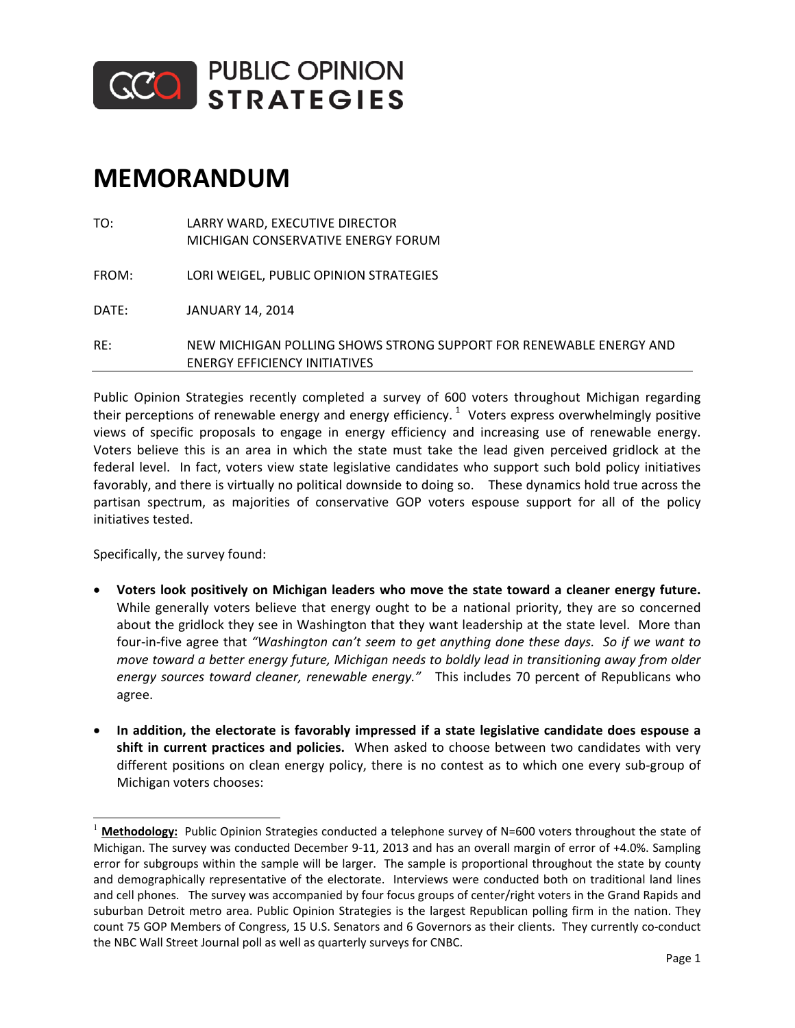

## **MEMORANDUM**

|       | <b>ENERGY EFFICIENCY INITIATIVES</b>                                 |
|-------|----------------------------------------------------------------------|
| RF:   | NEW MICHIGAN POLLING SHOWS STRONG SUPPORT FOR RENEWABLE ENERGY AND   |
| DATE: | <b>JANUARY 14, 2014</b>                                              |
| FROM: | LORI WEIGEL, PUBLIC OPINION STRATEGIES                               |
| TO:   | LARRY WARD, EXECUTIVE DIRECTOR<br>MICHIGAN CONSERVATIVE ENERGY FORUM |

Public Opinion Strategies recently completed a survey of 600 voters throughout Michigan regarding their perceptions of renewable energy and energy efficiency.  $^{1}$  Voters express overwhelmingly positive views of specific proposals to engage in energy efficiency and increasing use of renewable energy. Voters believe this is an area in which the state must take the lead given perceived gridlock at the federal level. In fact, voters view state legislative candidates who support such bold policy initiatives favorably, and there is virtually no political downside to doing so. These dynamics hold true across the partisan spectrum, as majorities of conservative GOP voters espouse support for all of the policy initiatives tested.

Specifically, the survey found:

 $\overline{\phantom{a}}$ 

- x **Voters look positively on Michigan leaders who move the state toward a cleaner energy future.** While generally voters believe that energy ought to be a national priority, they are so concerned about the gridlock they see in Washington that they want leadership at the state level. More than fourͲinͲfive agree that *"Washington can't seem to get anything done these days.So if we want to move toward a better energy future, Michigan needs to boldly lead in transitioning away from older energy sources toward cleaner, renewable energy."*This includes 70 percent of Republicans who agree.
- x **In addition, the electorate is favorably impressed if a state legislative candidate does espouse a shift in current practices and policies.**When asked to choose between two candidates with very different positions on clean energy policy, there is no contest as to which one every sub-group of Michigan voters chooses:

Methodology: Public Opinion Strategies conducted a telephone survey of N=600 voters throughout the state of Michigan. The survey was conducted December 9-11, 2013 and has an overall margin of error of +4.0%. Sampling error for subgroups within the sample will be larger. The sample is proportional throughout the state by county and demographically representative of the electorate. Interviews were conducted both on traditional land lines and cell phones. The survey was accompanied by four focus groups of center/right voters in the Grand Rapids and suburban Detroit metro area. Public Opinion Strategies is the largest Republican polling firm in the nation. They count 75 GOP Members of Congress, 15 U.S. Senators and 6 Governors as their clients. They currently co-conduct the NBC Wall Street Journal poll as well as quarterly surveys for CNBC.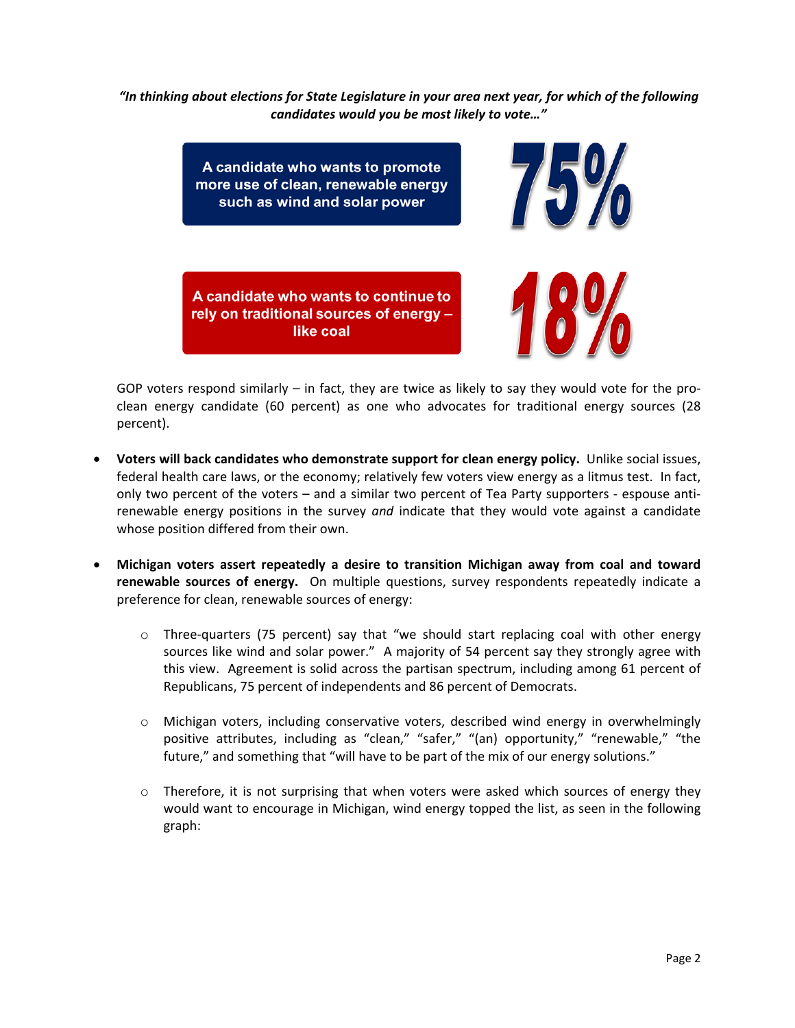*"In thinking about elections for State Legislature in your area next year, for which of the following candidates would you be most likely to vote…"*



GOP voters respond similarly – in fact, they are twice as likely to say they would vote for the proclean energy candidate (60 percent) as one who advocates for traditional energy sources (28 percent).

- x **Voters will back candidates who demonstrate support for clean energy policy.**Unlike social issues, federal health care laws, or the economy; relatively few voters view energy as a litmus test. In fact, only two percent of the voters – and a similar two percent of Tea Party supporters - espouse antirenewable energy positions in the survey *and* indicate that they would vote against a candidate whose position differed from their own.
- x **Michigan voters assert repeatedly a desire to transition Michigan away from coal and toward renewable sources of energy.**  On multiple questions, survey respondents repeatedly indicate a preference for clean, renewable sources of energy:
	- $\circ$  Three-quarters (75 percent) say that "we should start replacing coal with other energy sources like wind and solar power." A majority of 54 percent say they strongly agree with this view. Agreement is solid across the partisan spectrum, including among 61 percent of Republicans, 75 percent of independents and 86 percent of Democrats.
	- o Michigan voters, including conservative voters, described wind energy in overwhelmingly positive attributes, including as "clean," "safer," "(an) opportunity," "renewable," "the future," and something that "will have to be part of the mix of our energy solutions."
	- $\circ$  Therefore, it is not surprising that when voters were asked which sources of energy they would want to encourage in Michigan, wind energy topped the list, as seen in the following graph: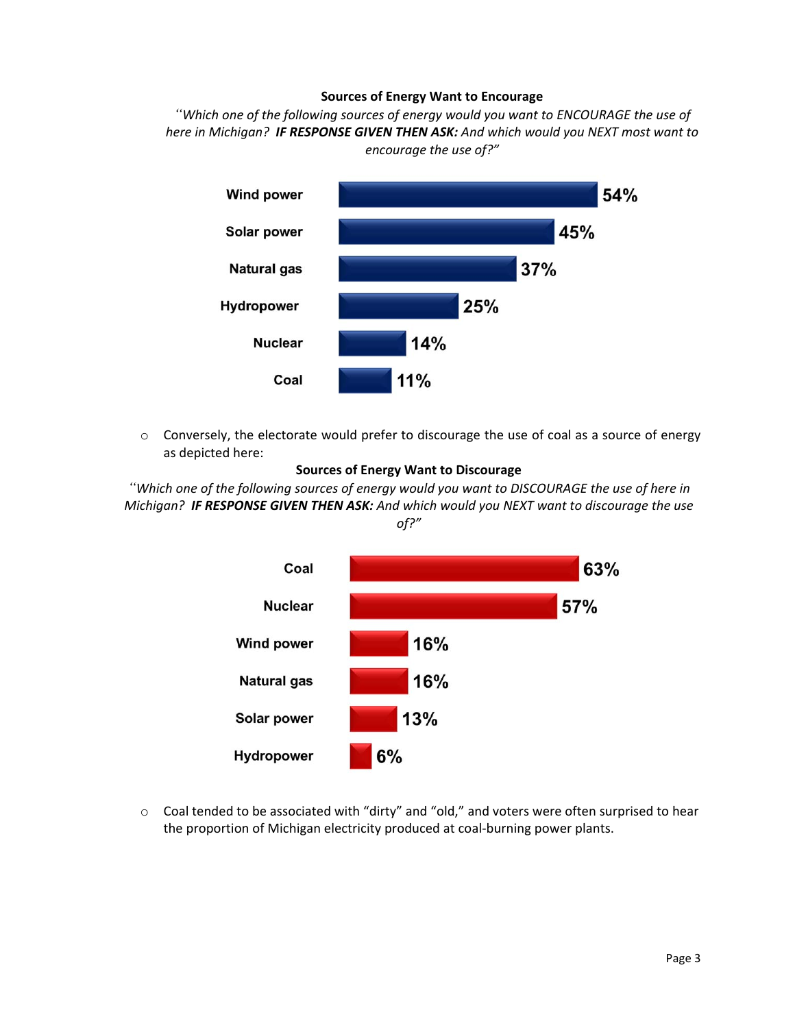## **Sources of Energy Want to Encourage**

*"Which one of the following sources of energy would you want to ENCOURAGE the use of here in Michigan?IF RESPONSE GIVEN THEN ASK: And which would you NEXT most want to encourage the use of?"*



 $\circ$  Conversely, the electorate would prefer to discourage the use of coal as a source of energy as depicted here:



"Which one of the following sources of energy would you want to DISCOURAGE the use of here in *Michigan?IF RESPONSE GIVEN THEN ASK: And which would you NEXT want to discourage the use of?"*



o Coal tended to be associated with "dirty" and "old," and voters were often surprised to hear the proportion of Michigan electricity produced at coal-burning power plants.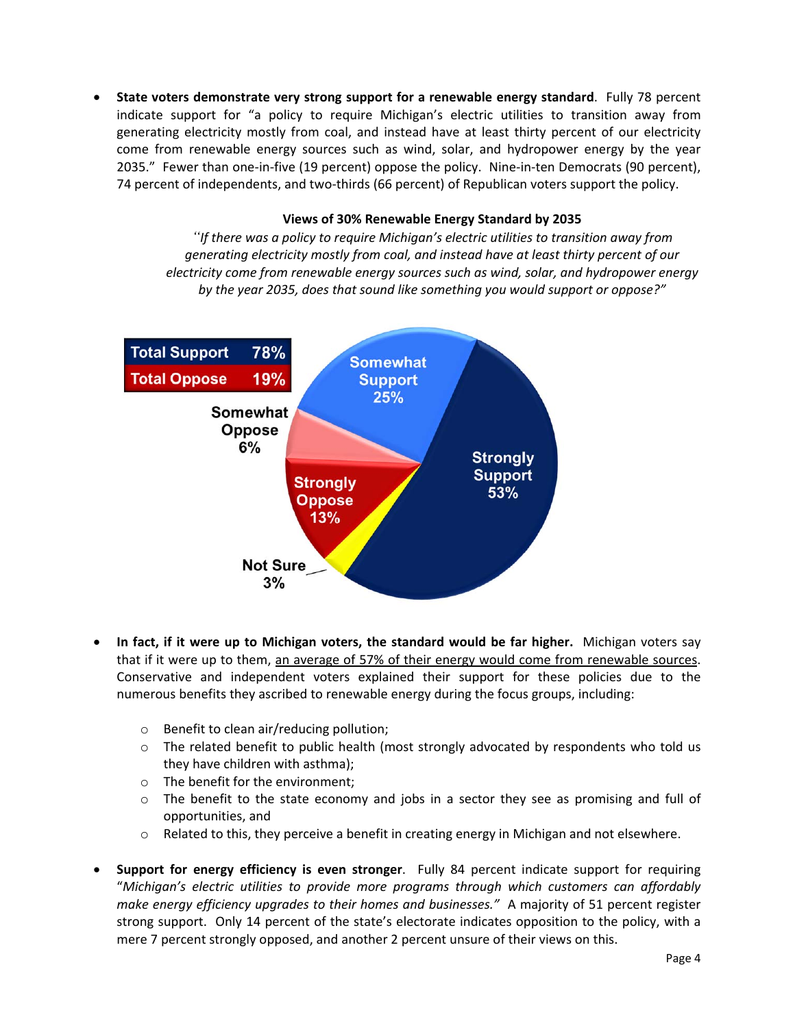**•** State voters demonstrate very strong support for a renewable energy standard. Fully 78 percent indicate support for "a policy to require Michigan's electric utilities to transition away from generating electricity mostly from coal, and instead have at least thirty percent of our electricity come from renewable energy sources such as wind, solar, and hydropower energy by the year 2035." Fewer than one-in-five (19 percent) oppose the policy. Nine-in-ten Democrats (90 percent), 74 percent of independents, and two-thirds (66 percent) of Republican voters support the policy.

## **Views of 30% Renewable Energy Standard by 2035**

*"If there was a policy to require Michigan's electric utilities to transition away from generating electricity mostly from coal, and instead have at least thirty percent of our electricity come from renewable energy sources such as wind, solar, and hydropower energy by the year 2035, does that sound like something you would support or oppose?"*



- x **In fact, if it were up to Michigan voters, the standard would be far higher.**Michigan voters say that if it were up to them, an average of 57% of their energy would come from renewable sources. Conservative and independent voters explained their support for these policies due to the numerous benefits they ascribed to renewable energy during the focus groups, including:
	- o Benefit to clean air/reducing pollution;
	- $\circ$  The related benefit to public health (most strongly advocated by respondents who told us they have children with asthma);
	- o The benefit for the environment;
	- o The benefit to the state economy and jobs in a sector they see as promising and full of opportunities, and
	- $\circ$  Related to this, they perceive a benefit in creating energy in Michigan and not elsewhere.
- x **Support for energy efficiency is even stronger**. Fully 84 percent indicate support for requiring "*Michigan's electric utilities to provide more programs through which customers can affordably make energy efficiency upgrades to their homes and businesses."*A majority of 51 percent register strong support. Only 14 percent of the state's electorate indicates opposition to the policy, with a mere 7 percent strongly opposed, and another 2 percent unsure of their views on this.